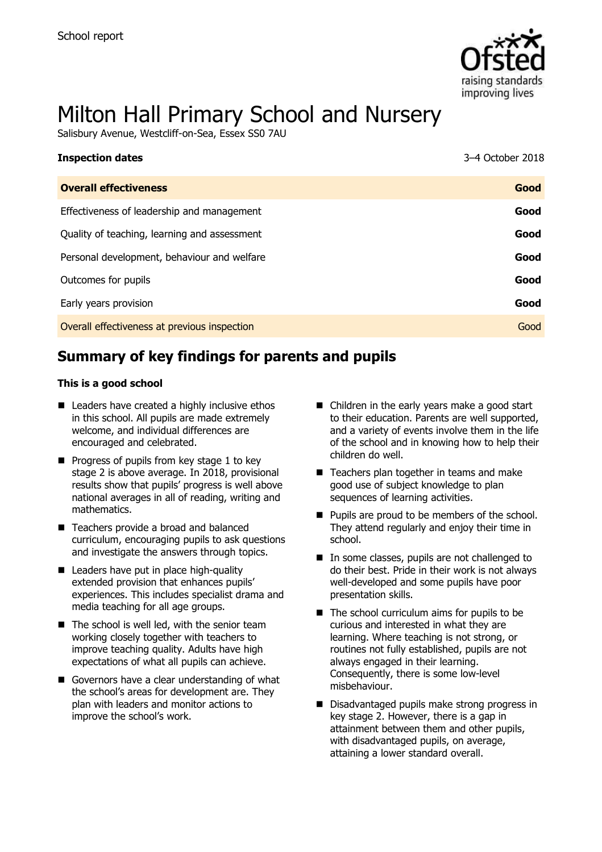

# Milton Hall Primary School and Nursery

Salisbury Avenue, Westcliff-on-Sea, Essex SS0 7AU

| <b>Inspection dates</b>                      | 3-4 October 2018 |
|----------------------------------------------|------------------|
| <b>Overall effectiveness</b>                 | Good             |
| Effectiveness of leadership and management   | Good             |
| Quality of teaching, learning and assessment | Good             |
| Personal development, behaviour and welfare  | Good             |
| Outcomes for pupils                          | Good             |
| Early years provision                        | Good             |
| Overall effectiveness at previous inspection | Good             |

# **Summary of key findings for parents and pupils**

#### **This is a good school**

- Leaders have created a highly inclusive ethos in this school. All pupils are made extremely welcome, and individual differences are encouraged and celebrated.
- $\blacksquare$  Progress of pupils from key stage 1 to key stage 2 is above average. In 2018, provisional results show that pupils' progress is well above national averages in all of reading, writing and mathematics.
- Teachers provide a broad and balanced curriculum, encouraging pupils to ask questions and investigate the answers through topics.
- Leaders have put in place high-quality extended provision that enhances pupils' experiences. This includes specialist drama and media teaching for all age groups.
- $\blacksquare$  The school is well led, with the senior team working closely together with teachers to improve teaching quality. Adults have high expectations of what all pupils can achieve.
- Governors have a clear understanding of what the school's areas for development are. They plan with leaders and monitor actions to improve the school's work.
- Children in the early years make a good start to their education. Parents are well supported, and a variety of events involve them in the life of the school and in knowing how to help their children do well.
- Teachers plan together in teams and make good use of subject knowledge to plan sequences of learning activities.
- **Pupils are proud to be members of the school.** They attend regularly and enjoy their time in school.
- In some classes, pupils are not challenged to do their best. Pride in their work is not always well-developed and some pupils have poor presentation skills.
- $\blacksquare$  The school curriculum aims for pupils to be curious and interested in what they are learning. Where teaching is not strong, or routines not fully established, pupils are not always engaged in their learning. Consequently, there is some low-level misbehaviour.
- Disadvantaged pupils make strong progress in key stage 2. However, there is a gap in attainment between them and other pupils, with disadvantaged pupils, on average, attaining a lower standard overall.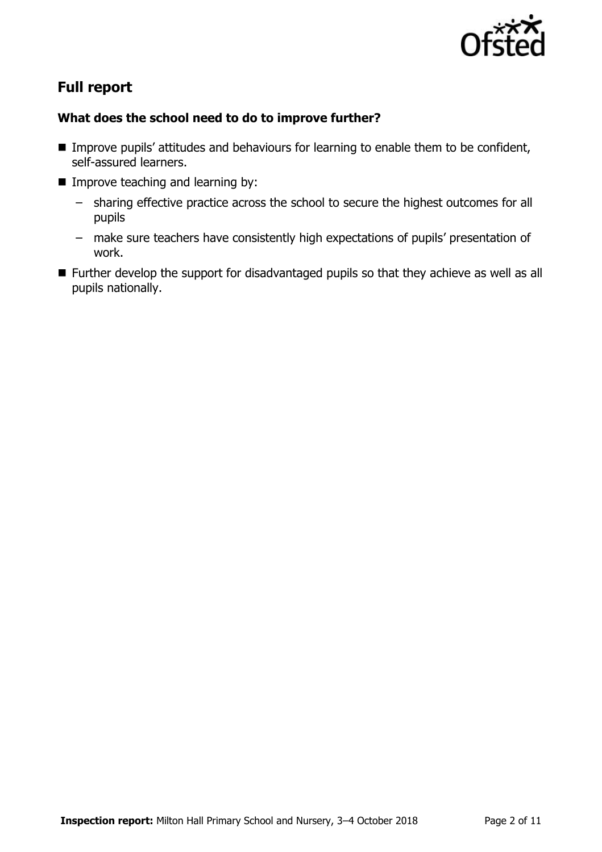

# **Full report**

### **What does the school need to do to improve further?**

- Improve pupils' attitudes and behaviours for learning to enable them to be confident, self-assured learners.
- **Improve teaching and learning by:** 
	- sharing effective practice across the school to secure the highest outcomes for all pupils
	- make sure teachers have consistently high expectations of pupils' presentation of work.
- **Further develop the support for disadvantaged pupils so that they achieve as well as all** pupils nationally.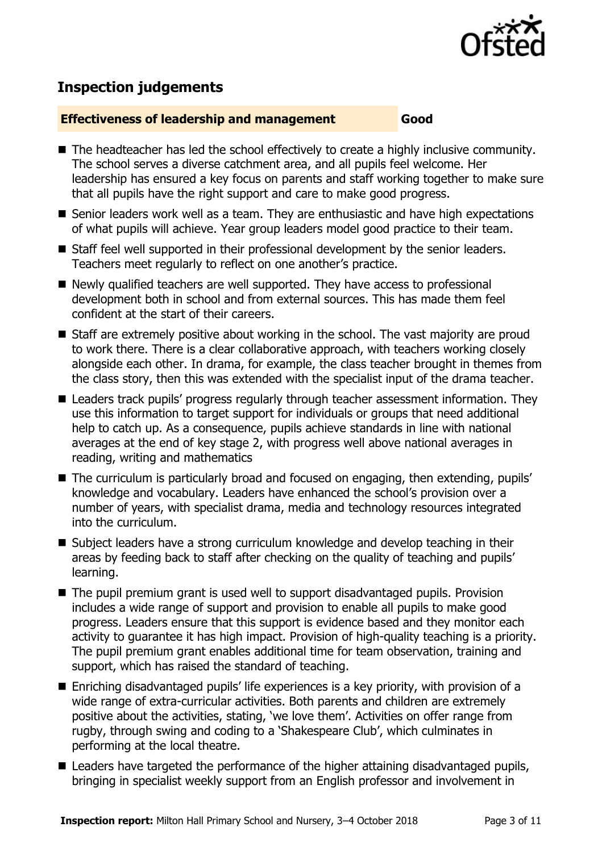

# **Inspection judgements**

#### **Effectiveness of leadership and management Good**

- The headteacher has led the school effectively to create a highly inclusive community. The school serves a diverse catchment area, and all pupils feel welcome. Her leadership has ensured a key focus on parents and staff working together to make sure that all pupils have the right support and care to make good progress.
- Senior leaders work well as a team. They are enthusiastic and have high expectations of what pupils will achieve. Year group leaders model good practice to their team.
- Staff feel well supported in their professional development by the senior leaders. Teachers meet regularly to reflect on one another's practice.
- Newly qualified teachers are well supported. They have access to professional development both in school and from external sources. This has made them feel confident at the start of their careers.
- Staff are extremely positive about working in the school. The vast majority are proud to work there. There is a clear collaborative approach, with teachers working closely alongside each other. In drama, for example, the class teacher brought in themes from the class story, then this was extended with the specialist input of the drama teacher.
- Leaders track pupils' progress regularly through teacher assessment information. They use this information to target support for individuals or groups that need additional help to catch up. As a consequence, pupils achieve standards in line with national averages at the end of key stage 2, with progress well above national averages in reading, writing and mathematics
- The curriculum is particularly broad and focused on engaging, then extending, pupils' knowledge and vocabulary. Leaders have enhanced the school's provision over a number of years, with specialist drama, media and technology resources integrated into the curriculum.
- Subject leaders have a strong curriculum knowledge and develop teaching in their areas by feeding back to staff after checking on the quality of teaching and pupils' learning.
- The pupil premium grant is used well to support disadvantaged pupils. Provision includes a wide range of support and provision to enable all pupils to make good progress. Leaders ensure that this support is evidence based and they monitor each activity to guarantee it has high impact. Provision of high-quality teaching is a priority. The pupil premium grant enables additional time for team observation, training and support, which has raised the standard of teaching.
- Enriching disadvantaged pupils' life experiences is a key priority, with provision of a wide range of extra-curricular activities. Both parents and children are extremely positive about the activities, stating, 'we love them'. Activities on offer range from rugby, through swing and coding to a 'Shakespeare Club', which culminates in performing at the local theatre.
- Leaders have targeted the performance of the higher attaining disadvantaged pupils, bringing in specialist weekly support from an English professor and involvement in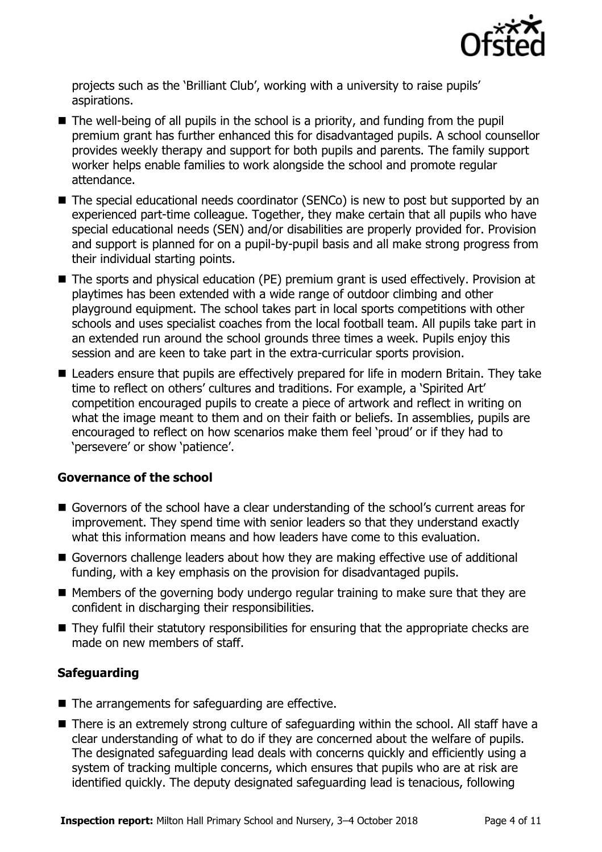

projects such as the 'Brilliant Club', working with a university to raise pupils' aspirations.

- $\blacksquare$  The well-being of all pupils in the school is a priority, and funding from the pupil premium grant has further enhanced this for disadvantaged pupils. A school counsellor provides weekly therapy and support for both pupils and parents. The family support worker helps enable families to work alongside the school and promote regular attendance.
- The special educational needs coordinator (SENCo) is new to post but supported by an experienced part-time colleague. Together, they make certain that all pupils who have special educational needs (SEN) and/or disabilities are properly provided for. Provision and support is planned for on a pupil-by-pupil basis and all make strong progress from their individual starting points.
- The sports and physical education (PE) premium grant is used effectively. Provision at playtimes has been extended with a wide range of outdoor climbing and other playground equipment. The school takes part in local sports competitions with other schools and uses specialist coaches from the local football team. All pupils take part in an extended run around the school grounds three times a week. Pupils enjoy this session and are keen to take part in the extra-curricular sports provision.
- Leaders ensure that pupils are effectively prepared for life in modern Britain. They take time to reflect on others' cultures and traditions. For example, a 'Spirited Art' competition encouraged pupils to create a piece of artwork and reflect in writing on what the image meant to them and on their faith or beliefs. In assemblies, pupils are encouraged to reflect on how scenarios make them feel 'proud' or if they had to 'persevere' or show 'patience'.

#### **Governance of the school**

- Governors of the school have a clear understanding of the school's current areas for improvement. They spend time with senior leaders so that they understand exactly what this information means and how leaders have come to this evaluation.
- Governors challenge leaders about how they are making effective use of additional funding, with a key emphasis on the provision for disadvantaged pupils.
- $\blacksquare$  Members of the governing body undergo regular training to make sure that they are confident in discharging their responsibilities.
- They fulfil their statutory responsibilities for ensuring that the appropriate checks are made on new members of staff.

#### **Safeguarding**

- $\blacksquare$  The arrangements for safeguarding are effective.
- There is an extremely strong culture of safeguarding within the school. All staff have a clear understanding of what to do if they are concerned about the welfare of pupils. The designated safeguarding lead deals with concerns quickly and efficiently using a system of tracking multiple concerns, which ensures that pupils who are at risk are identified quickly. The deputy designated safeguarding lead is tenacious, following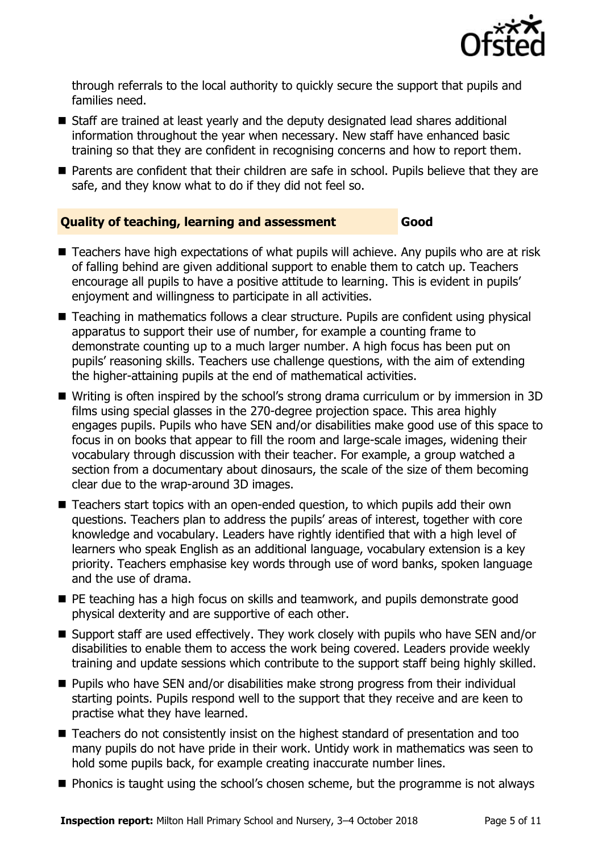

through referrals to the local authority to quickly secure the support that pupils and families need.

- Staff are trained at least yearly and the deputy designated lead shares additional information throughout the year when necessary. New staff have enhanced basic training so that they are confident in recognising concerns and how to report them.
- **Parents are confident that their children are safe in school. Pupils believe that they are** safe, and they know what to do if they did not feel so.

### **Quality of teaching, learning and assessment Good**

- Teachers have high expectations of what pupils will achieve. Any pupils who are at risk of falling behind are given additional support to enable them to catch up. Teachers encourage all pupils to have a positive attitude to learning. This is evident in pupils' enjoyment and willingness to participate in all activities.
- Teaching in mathematics follows a clear structure. Pupils are confident using physical apparatus to support their use of number, for example a counting frame to demonstrate counting up to a much larger number. A high focus has been put on pupils' reasoning skills. Teachers use challenge questions, with the aim of extending the higher-attaining pupils at the end of mathematical activities.
- Writing is often inspired by the school's strong drama curriculum or by immersion in 3D films using special glasses in the 270-degree projection space. This area highly engages pupils. Pupils who have SEN and/or disabilities make good use of this space to focus in on books that appear to fill the room and large-scale images, widening their vocabulary through discussion with their teacher. For example, a group watched a section from a documentary about dinosaurs, the scale of the size of them becoming clear due to the wrap-around 3D images.
- Teachers start topics with an open-ended question, to which pupils add their own questions. Teachers plan to address the pupils' areas of interest, together with core knowledge and vocabulary. Leaders have rightly identified that with a high level of learners who speak English as an additional language, vocabulary extension is a key priority. Teachers emphasise key words through use of word banks, spoken language and the use of drama.
- **PE teaching has a high focus on skills and teamwork, and pupils demonstrate good** physical dexterity and are supportive of each other.
- Support staff are used effectively. They work closely with pupils who have SEN and/or disabilities to enable them to access the work being covered. Leaders provide weekly training and update sessions which contribute to the support staff being highly skilled.
- Pupils who have SEN and/or disabilities make strong progress from their individual starting points. Pupils respond well to the support that they receive and are keen to practise what they have learned.
- Teachers do not consistently insist on the highest standard of presentation and too many pupils do not have pride in their work. Untidy work in mathematics was seen to hold some pupils back, for example creating inaccurate number lines.
- **Phonics is taught using the school's chosen scheme, but the programme is not always**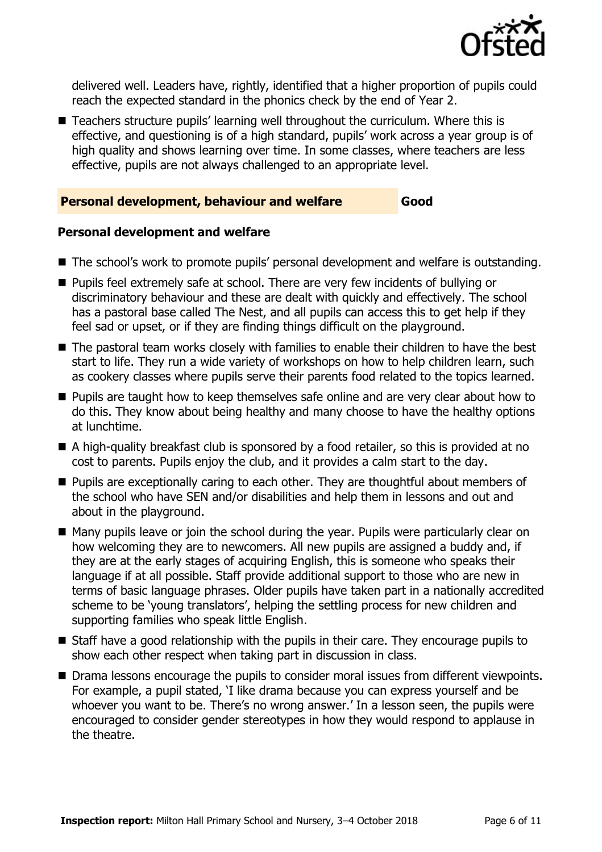

delivered well. Leaders have, rightly, identified that a higher proportion of pupils could reach the expected standard in the phonics check by the end of Year 2.

■ Teachers structure pupils' learning well throughout the curriculum. Where this is effective, and questioning is of a high standard, pupils' work across a year group is of high quality and shows learning over time. In some classes, where teachers are less effective, pupils are not always challenged to an appropriate level.

#### **Personal development, behaviour and welfare Good**

#### **Personal development and welfare**

- The school's work to promote pupils' personal development and welfare is outstanding.
- **Pupils feel extremely safe at school. There are very few incidents of bullying or** discriminatory behaviour and these are dealt with quickly and effectively. The school has a pastoral base called The Nest, and all pupils can access this to get help if they feel sad or upset, or if they are finding things difficult on the playground.
- The pastoral team works closely with families to enable their children to have the best start to life. They run a wide variety of workshops on how to help children learn, such as cookery classes where pupils serve their parents food related to the topics learned.
- **Pupils are taught how to keep themselves safe online and are very clear about how to** do this. They know about being healthy and many choose to have the healthy options at lunchtime.
- A high-quality breakfast club is sponsored by a food retailer, so this is provided at no cost to parents. Pupils enjoy the club, and it provides a calm start to the day.
- **Pupils are exceptionally caring to each other. They are thoughtful about members of** the school who have SEN and/or disabilities and help them in lessons and out and about in the playground.
- Many pupils leave or join the school during the year. Pupils were particularly clear on how welcoming they are to newcomers. All new pupils are assigned a buddy and, if they are at the early stages of acquiring English, this is someone who speaks their language if at all possible. Staff provide additional support to those who are new in terms of basic language phrases. Older pupils have taken part in a nationally accredited scheme to be 'young translators', helping the settling process for new children and supporting families who speak little English.
- Staff have a good relationship with the pupils in their care. They encourage pupils to show each other respect when taking part in discussion in class.
- Drama lessons encourage the pupils to consider moral issues from different viewpoints. For example, a pupil stated, 'I like drama because you can express yourself and be whoever you want to be. There's no wrong answer.' In a lesson seen, the pupils were encouraged to consider gender stereotypes in how they would respond to applause in the theatre.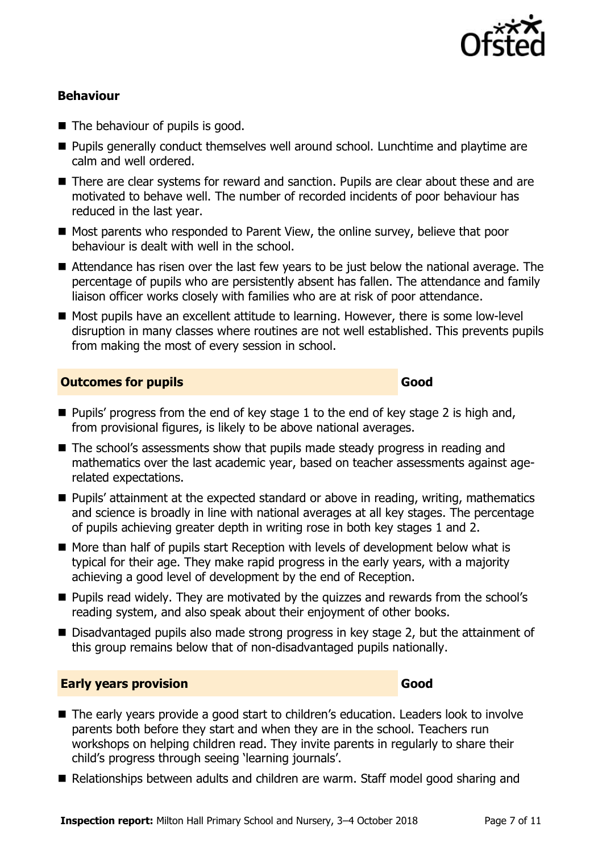

#### **Behaviour**

- $\blacksquare$  The behaviour of pupils is good.
- **Pupils generally conduct themselves well around school. Lunchtime and playtime are** calm and well ordered.
- There are clear systems for reward and sanction. Pupils are clear about these and are motivated to behave well. The number of recorded incidents of poor behaviour has reduced in the last year.
- Most parents who responded to Parent View, the online survey, believe that poor behaviour is dealt with well in the school.
- Attendance has risen over the last few years to be just below the national average. The percentage of pupils who are persistently absent has fallen. The attendance and family liaison officer works closely with families who are at risk of poor attendance.
- Most pupils have an excellent attitude to learning. However, there is some low-level disruption in many classes where routines are not well established. This prevents pupils from making the most of every session in school.

#### **Outcomes for pupils Good**

- **Pupils' progress from the end of key stage 1 to the end of key stage 2 is high and,** from provisional figures, is likely to be above national averages.
- The school's assessments show that pupils made steady progress in reading and mathematics over the last academic year, based on teacher assessments against agerelated expectations.
- Pupils' attainment at the expected standard or above in reading, writing, mathematics and science is broadly in line with national averages at all key stages. The percentage of pupils achieving greater depth in writing rose in both key stages 1 and 2.
- $\blacksquare$  More than half of pupils start Reception with levels of development below what is typical for their age. They make rapid progress in the early years, with a majority achieving a good level of development by the end of Reception.
- **Pupils read widely.** They are motivated by the quizzes and rewards from the school's reading system, and also speak about their enjoyment of other books.
- Disadvantaged pupils also made strong progress in key stage 2, but the attainment of this group remains below that of non-disadvantaged pupils nationally.

#### **Early years provision Good Good**

- The early years provide a good start to children's education. Leaders look to involve parents both before they start and when they are in the school. Teachers run workshops on helping children read. They invite parents in regularly to share their child's progress through seeing 'learning journals'.
- Relationships between adults and children are warm. Staff model good sharing and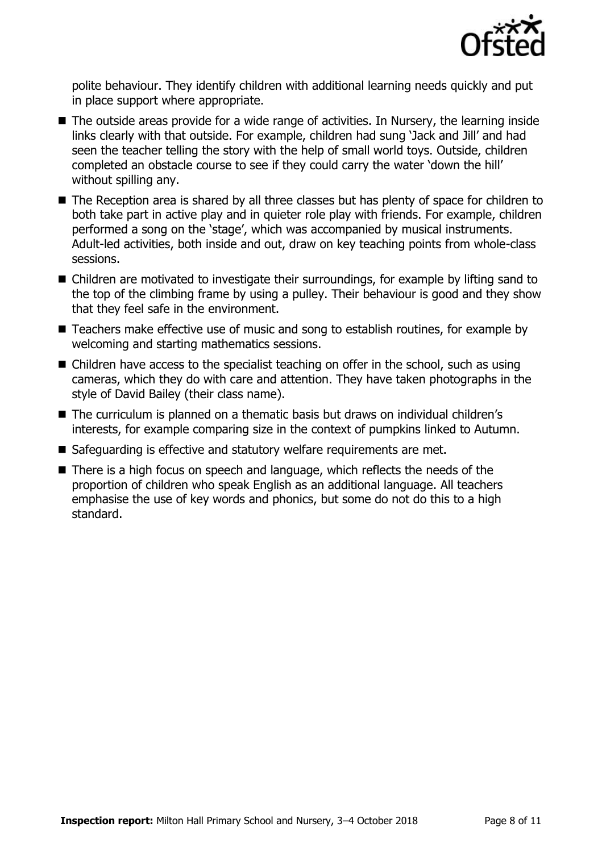

polite behaviour. They identify children with additional learning needs quickly and put in place support where appropriate.

- The outside areas provide for a wide range of activities. In Nursery, the learning inside links clearly with that outside. For example, children had sung 'Jack and Jill' and had seen the teacher telling the story with the help of small world toys. Outside, children completed an obstacle course to see if they could carry the water 'down the hill' without spilling any.
- The Reception area is shared by all three classes but has plenty of space for children to both take part in active play and in quieter role play with friends. For example, children performed a song on the 'stage', which was accompanied by musical instruments. Adult-led activities, both inside and out, draw on key teaching points from whole-class sessions.
- Children are motivated to investigate their surroundings, for example by lifting sand to the top of the climbing frame by using a pulley. Their behaviour is good and they show that they feel safe in the environment.
- Teachers make effective use of music and song to establish routines, for example by welcoming and starting mathematics sessions.
- Children have access to the specialist teaching on offer in the school, such as using cameras, which they do with care and attention. They have taken photographs in the style of David Bailey (their class name).
- The curriculum is planned on a thematic basis but draws on individual children's interests, for example comparing size in the context of pumpkins linked to Autumn.
- Safeguarding is effective and statutory welfare requirements are met.
- There is a high focus on speech and language, which reflects the needs of the proportion of children who speak English as an additional language. All teachers emphasise the use of key words and phonics, but some do not do this to a high standard.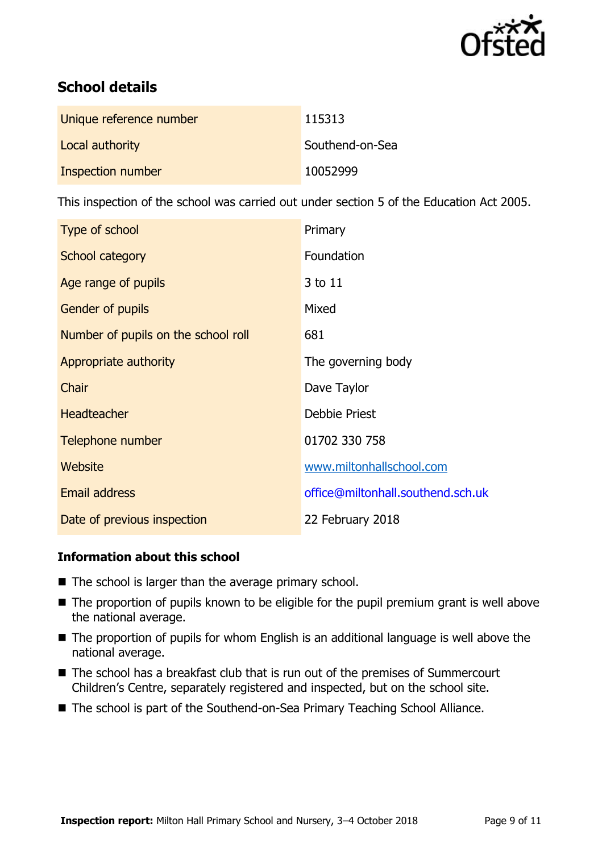

# **School details**

| Unique reference number | 115313          |
|-------------------------|-----------------|
| Local authority         | Southend-on-Sea |
| Inspection number       | 10052999        |

This inspection of the school was carried out under section 5 of the Education Act 2005.

| Type of school                      | Primary                           |
|-------------------------------------|-----------------------------------|
| School category                     | Foundation                        |
| Age range of pupils                 | 3 to 11                           |
| <b>Gender of pupils</b>             | Mixed                             |
| Number of pupils on the school roll | 681                               |
| Appropriate authority               | The governing body                |
| Chair                               | Dave Taylor                       |
| <b>Headteacher</b>                  | <b>Debbie Priest</b>              |
| Telephone number                    | 01702 330 758                     |
| Website                             | www.miltonhallschool.com          |
| <b>Email address</b>                | office@miltonhall.southend.sch.uk |
| Date of previous inspection         | 22 February 2018                  |

### **Information about this school**

- The school is larger than the average primary school.
- The proportion of pupils known to be eligible for the pupil premium grant is well above the national average.
- The proportion of pupils for whom English is an additional language is well above the national average.
- The school has a breakfast club that is run out of the premises of Summercourt Children's Centre, separately registered and inspected, but on the school site.
- The school is part of the Southend-on-Sea Primary Teaching School Alliance.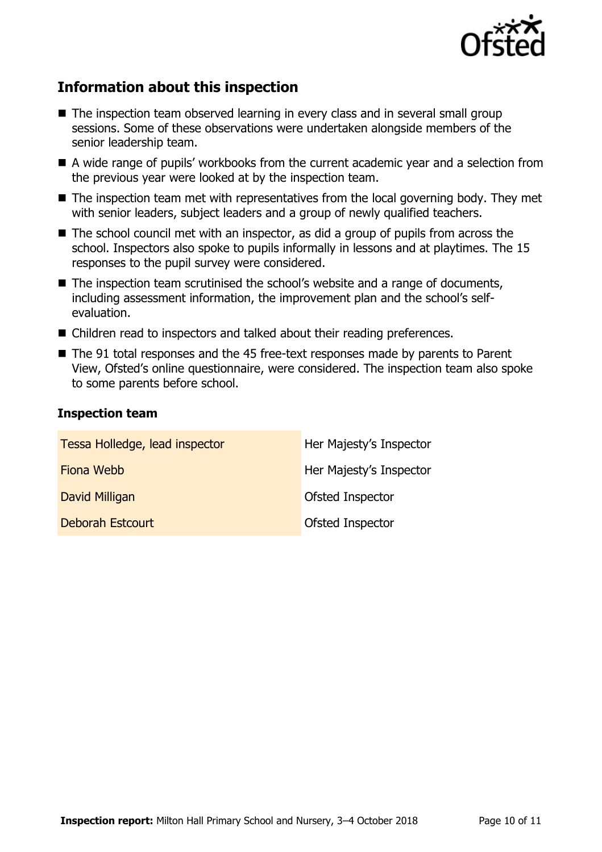

# **Information about this inspection**

- The inspection team observed learning in every class and in several small group sessions. Some of these observations were undertaken alongside members of the senior leadership team.
- A wide range of pupils' workbooks from the current academic year and a selection from the previous year were looked at by the inspection team.
- $\blacksquare$  The inspection team met with representatives from the local governing body. They met with senior leaders, subject leaders and a group of newly qualified teachers.
- $\blacksquare$  The school council met with an inspector, as did a group of pupils from across the school. Inspectors also spoke to pupils informally in lessons and at playtimes. The 15 responses to the pupil survey were considered.
- The inspection team scrutinised the school's website and a range of documents, including assessment information, the improvement plan and the school's selfevaluation.
- Children read to inspectors and talked about their reading preferences.
- The 91 total responses and the 45 free-text responses made by parents to Parent View, Ofsted's online questionnaire, were considered. The inspection team also spoke to some parents before school.

#### **Inspection team**

| Tessa Holledge, lead inspector | Her Majesty's Inspector |
|--------------------------------|-------------------------|
| Fiona Webb                     | Her Majesty's Inspector |
| David Milligan                 | Ofsted Inspector        |
| Deborah Estcourt               | Ofsted Inspector        |